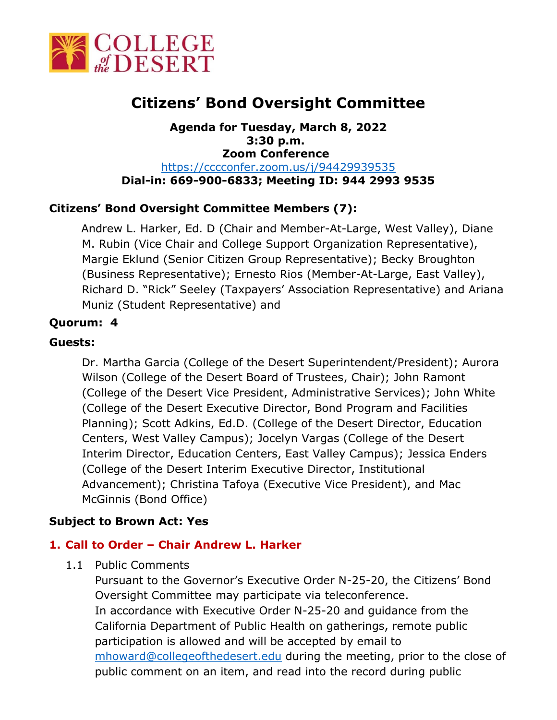

# **Citizens' Bond Oversight Committee**

**Agenda for Tuesday, March 8, 2022 3:30 p.m. Zoom Conference**  <https://cccconfer.zoom.us/j/94429939535> **Dial-in: 669-900-6833; Meeting ID: 944 2993 9535**

# **Citizens' Bond Oversight Committee Members (7):**

Andrew L. Harker, Ed. D (Chair and Member-At-Large, West Valley), Diane M. Rubin (Vice Chair and College Support Organization Representative), Margie Eklund (Senior Citizen Group Representative); Becky Broughton (Business Representative); Ernesto Rios (Member-At-Large, East Valley), Richard D. "Rick" Seeley (Taxpayers' Association Representative) and Ariana Muniz (Student Representative) and

### **Quorum: 4**

### **Guests:**

Dr. Martha Garcia (College of the Desert Superintendent/President); Aurora Wilson (College of the Desert Board of Trustees, Chair); John Ramont (College of the Desert Vice President, Administrative Services); John White (College of the Desert Executive Director, Bond Program and Facilities Planning); Scott Adkins, Ed.D. (College of the Desert Director, Education Centers, West Valley Campus); Jocelyn Vargas (College of the Desert Interim Director, Education Centers, East Valley Campus); Jessica Enders (College of the Desert Interim Executive Director, Institutional Advancement); Christina Tafoya (Executive Vice President), and Mac McGinnis (Bond Office)

# **Subject to Brown Act: Yes**

#### **1. Call to Order – Chair Andrew L. Harker**

1.1 Public Comments

Pursuant to the Governor's Executive Order N-25-20, the Citizens' Bond Oversight Committee may participate via teleconference. In accordance with Executive Order N-25-20 and guidance from the California Department of Public Health on gatherings, remote public participation is allowed and will be accepted by email to [mhoward@collegeofthedesert.edu](mailto:mhoward@collegeofthedesert.edu) during the meeting, prior to the close of public comment on an item, and read into the record during public